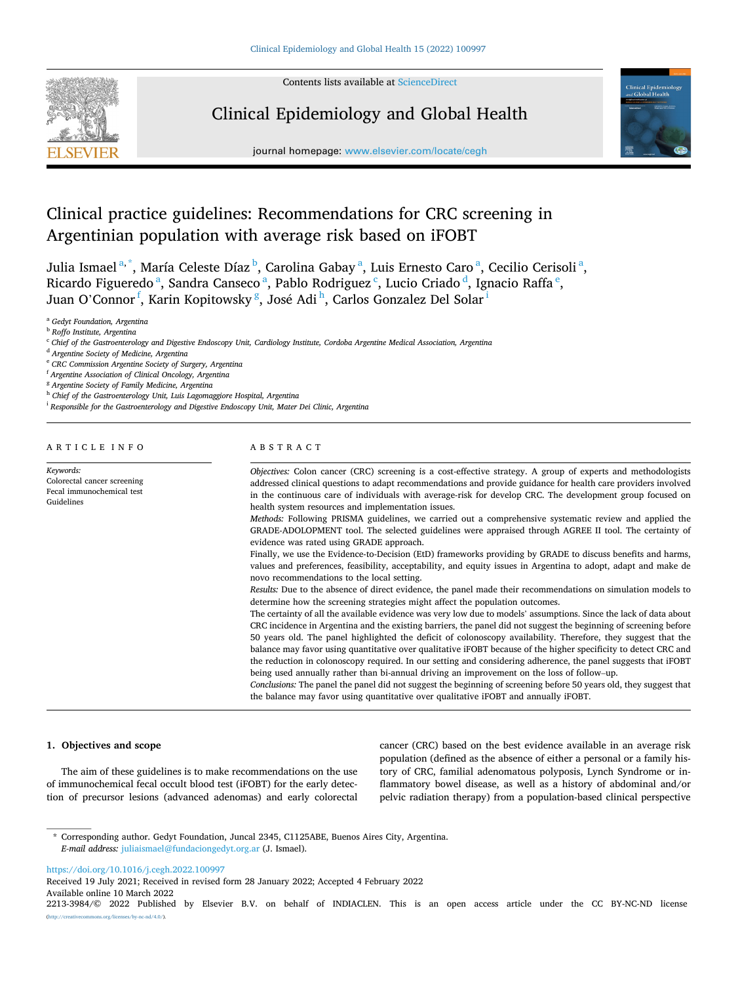

Contents lists available at [ScienceDirect](www.sciencedirect.com/science/journal/22133984)

# Clinical Epidemiology and Global Health



journal homepage: [www.elsevier.com/locate/cegh](https://www.elsevier.com/locate/cegh)

# Clinical practice guidelines: Recommendations for CRC screening in Argentinian population with average risk based on iFOBT

Julia Ismael $a^*$ , María Celeste Díaz $^{\rm b}$ , Carolina Gabay $^{\rm a}$ , Luis Ernesto Caro $^{\rm a}$ , Cecilio Cerisoli $^{\rm a}$ , Ricardo Figueredo<sup>a</sup>, Sandra Canseco<sup>a</sup>, Pablo Rodriguez<sup>c</sup>, Lucio Criado<sup>d</sup>, Ignacio Raffa<sup>e</sup>, Juan O'Connor<sup>f</sup>, Karin Kopitowsky <sup>g</sup>, José Adi <sup>h</sup>, Carlos Gonzalez Del Solar <sup>i</sup>

<sup>a</sup> *Gedyt Foundation, Argentina* 

<sup>b</sup> *Roffo Institute, Argentina* 

<sup>c</sup> *Chief of the Gastroenterology and Digestive Endoscopy Unit, Cardiology Institute, Cordoba Argentine Medical Association, Argentina* 

<sup>d</sup> *Argentine Society of Medicine, Argentina* 

<sup>e</sup> *CRC Commission Argentine Society of Surgery, Argentina* 

<sup>f</sup> *Argentine Association of Clinical Oncology, Argentina* 

<sup>g</sup> *Argentine Society of Family Medicine, Argentina* 

<sup>h</sup> *Chief of the Gastroenterology Unit, Luis Lagomaggiore Hospital, Argentina* 

<sup>i</sup> *Responsible for the Gastroenterology and Digestive Endoscopy Unit, Mater Dei Clinic, Argentina* 

# ARTICLE INFO

*Keywords:*  Colorectal cancer screening Fecal immunochemical test Guidelines

# ABSTRACT

*Objectives:* Colon cancer (CRC) screening is a cost-effective strategy. A group of experts and methodologists addressed clinical questions to adapt recommendations and provide guidance for health care providers involved in the continuous care of individuals with average-risk for develop CRC. The development group focused on health system resources and implementation issues.

*Methods:* Following PRISMA guidelines, we carried out a comprehensive systematic review and applied the GRADE-ADOLOPMENT tool. The selected guidelines were appraised through AGREE II tool. The certainty of evidence was rated using GRADE approach.

Finally, we use the Evidence-to-Decision (EtD) frameworks providing by GRADE to discuss benefits and harms, values and preferences, feasibility, acceptability, and equity issues in Argentina to adopt, adapt and make de novo recommendations to the local setting.

*Results:* Due to the absence of direct evidence, the panel made their recommendations on simulation models to determine how the screening strategies might affect the population outcomes.

The certainty of all the available evidence was very low due to models' assumptions. Since the lack of data about CRC incidence in Argentina and the existing barriers, the panel did not suggest the beginning of screening before 50 years old. The panel highlighted the deficit of colonoscopy availability. Therefore, they suggest that the balance may favor using quantitative over qualitative iFOBT because of the higher specificity to detect CRC and the reduction in colonoscopy required. In our setting and considering adherence, the panel suggests that iFOBT being used annually rather than bi-annual driving an improvement on the loss of follow–up.

*Conclusions:* The panel the panel did not suggest the beginning of screening before 50 years old, they suggest that the balance may favor using quantitative over qualitative iFOBT and annually iFOBT.

# **1. Objectives and scope**

The aim of these guidelines is to make recommendations on the use of immunochemical fecal occult blood test (iFOBT) for the early detection of precursor lesions (advanced adenomas) and early colorectal cancer (CRC) based on the best evidence available in an average risk population (defined as the absence of either a personal or a family history of CRC, familial adenomatous polyposis, Lynch Syndrome or inflammatory bowel disease, as well as a history of abdominal and/or pelvic radiation therapy) from a population-based clinical perspective

\* Corresponding author. Gedyt Foundation, Juncal 2345, C1125ABE, Buenos Aires City, Argentina. *E-mail address:* [juliaismael@fundaciongedyt.org.ar](mailto:juliaismael@fundaciongedyt.org.ar) (J. Ismael).

<https://doi.org/10.1016/j.cegh.2022.100997>

Available online 10 March 2022 Received 19 July 2021; Received in revised form 28 January 2022; Accepted 4 February 2022

<sup>2213-3984/© 2022</sup> Published by Elsevier B.V. on behalf of INDIACLEN. This is an open access article under the CC BY-NC-ND license  $rac{-nd}{4.0}$ .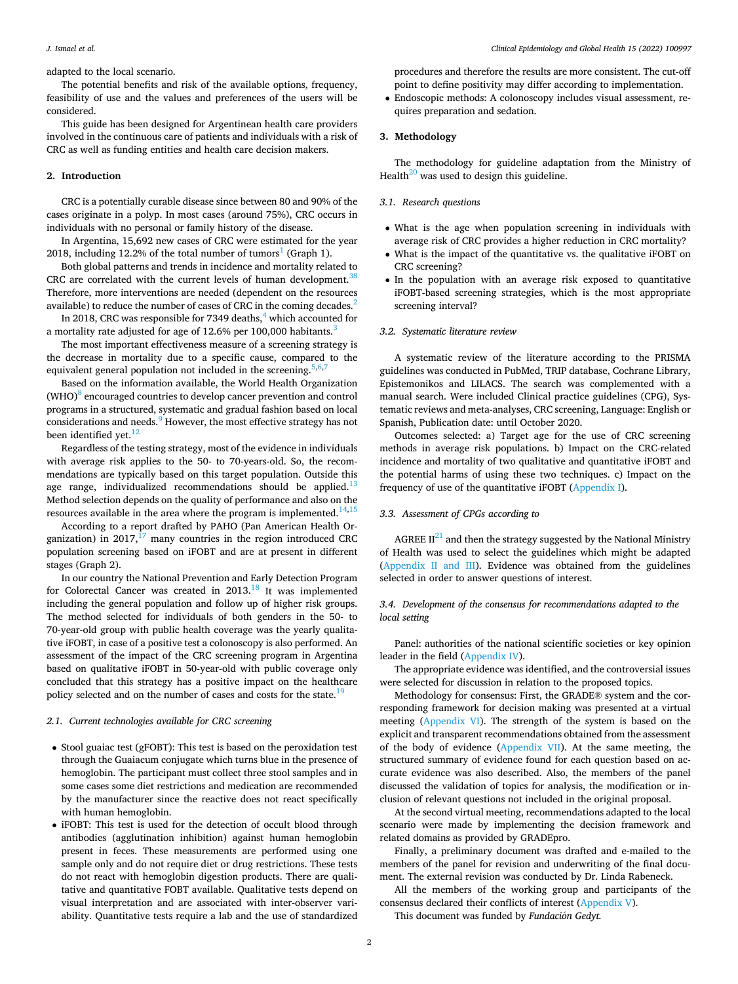## *J. Ismael et al.*

adapted to the local scenario.

The potential benefits and risk of the available options, frequency, feasibility of use and the values and preferences of the users will be considered.

This guide has been designed for Argentinean health care providers involved in the continuous care of patients and individuals with a risk of CRC as well as funding entities and health care decision makers.

## **2. Introduction**

CRC is a potentially curable disease since between 80 and 90% of the cases originate in a polyp. In most cases (around 75%), CRC occurs in individuals with no personal or family history of the disease.

In Argentina, 15,692 new cases of CRC were estimated for the year 2018, including 12.2% of the total number of tumors<sup>1</sup> (Graph 1).

Both global patterns and trends in incidence and mortality related to CRC are correlated with the current levels of human development. $38$ Therefore, more interventions are needed (dependent on the resources available) to reduce the number of cases of CRC in the coming decades[.2](#page-3-0) 

In 2018, CRC was responsible for 7349 deaths, $4\overline{}$  which accounted for a mortality rate adjusted for age of 12.6% per 100,000 habitants.<sup>[3](#page-3-0)</sup>

The most important effectiveness measure of a screening strategy is the decrease in mortality due to a specific cause, compared to the equivalent general population not included in the screening.  $5,6,7$ 

Based on the information available, the World Health Organization  $(WHO)^8$  encouraged countries to develop cancer prevention and control programs in a structured, systematic and gradual fashion based on local considerations and needs.<sup>9</sup> However, the most effective strategy has not been identified yet.<sup>12</sup>

Regardless of the testing strategy, most of the evidence in individuals with average risk applies to the 50- to 70-years-old. So, the recommendations are typically based on this target population. Outside this age range, individualized recommendations should be applied. $13$ Method selection depends on the quality of performance and also on the resources available in the area where the program is implemented.<sup>14,1</sup>

According to a report drafted by PAHO (Pan American Health Organization) in  $2017$ ,<sup>17</sup> many countries in the region introduced CRC population screening based on iFOBT and are at present in different stages (Graph 2).

In our country the National Prevention and Early Detection Program for Colorectal Cancer was created in  $2013$ .<sup>18</sup> It was implemented including the general population and follow up of higher risk groups. The method selected for individuals of both genders in the 50- to 70-year-old group with public health coverage was the yearly qualitative iFOBT, in case of a positive test a colonoscopy is also performed. An assessment of the impact of the CRC screening program in Argentina based on qualitative iFOBT in 50-year-old with public coverage only concluded that this strategy has a positive impact on the healthcare policy selected and on the number of cases and costs for the state.<sup>[19](#page-4-0)</sup>

## *2.1. Current technologies available for CRC screening*

- Stool guaiac test (gFOBT): This test is based on the peroxidation test through the Guaiacum conjugate which turns blue in the presence of hemoglobin. The participant must collect three stool samples and in some cases some diet restrictions and medication are recommended by the manufacturer since the reactive does not react specifically with human hemoglobin.
- iFOBT: This test is used for the detection of occult blood through antibodies (agglutination inhibition) against human hemoglobin present in feces. These measurements are performed using one sample only and do not require diet or drug restrictions. These tests do not react with hemoglobin digestion products. There are qualitative and quantitative FOBT available. Qualitative tests depend on visual interpretation and are associated with inter-observer variability. Quantitative tests require a lab and the use of standardized

procedures and therefore the results are more consistent. The cut-off point to define positivity may differ according to implementation.

• Endoscopic methods: A colonoscopy includes visual assessment, requires preparation and sedation.

## **3. Methodology**

The methodology for guideline adaptation from the Ministry of Health<sup>20</sup> was used to design this guideline.

# *3.1. Research questions*

- What is the age when population screening in individuals with average risk of CRC provides a higher reduction in CRC mortality?
- What is the impact of the quantitative vs. the qualitative iFOBT on CRC screening?
- In the population with an average risk exposed to quantitative iFOBT-based screening strategies, which is the most appropriate screening interval?

#### *3.2. Systematic literature review*

A systematic review of the literature according to the PRISMA guidelines was conducted in PubMed, TRIP database, Cochrane Library, Epistemonikos and LILACS. The search was complemented with a manual search. Were included Clinical practice guidelines (CPG), Systematic reviews and meta-analyses, CRC screening, Language: English or Spanish, Publication date: until October 2020.

Outcomes selected: a) Target age for the use of CRC screening methods in average risk populations. b) Impact on the CRC-related incidence and mortality of two qualitative and quantitative iFOBT and the potential harms of using these two techniques. c) Impact on the frequency of use of the quantitative iFOBT (Appendix I).

## *3.3. Assessment of CPGs according to*

AGREE  $II^{21}$  and then the strategy suggested by the National Ministry of Health was used to select the guidelines which might be adapted (Appendix II and III). Evidence was obtained from the guidelines selected in order to answer questions of interest.

# *3.4. Development of the consensus for recommendations adapted to the local setting*

Panel: authorities of the national scientific societies or key opinion leader in the field (Appendix IV).

The appropriate evidence was identified, and the controversial issues were selected for discussion in relation to the proposed topics.

Methodology for consensus: First, the GRADE® system and the corresponding framework for decision making was presented at a virtual meeting (Appendix VI). The strength of the system is based on the explicit and transparent recommendations obtained from the assessment of the body of evidence (Appendix VII). At the same meeting, the structured summary of evidence found for each question based on accurate evidence was also described. Also, the members of the panel discussed the validation of topics for analysis, the modification or inclusion of relevant questions not included in the original proposal.

At the second virtual meeting, recommendations adapted to the local scenario were made by implementing the decision framework and related domains as provided by GRADEpro.

Finally, a preliminary document was drafted and e-mailed to the members of the panel for revision and underwriting of the final document. The external revision was conducted by Dr. Linda Rabeneck.

All the members of the working group and participants of the consensus declared their conflicts of interest (Appendix V).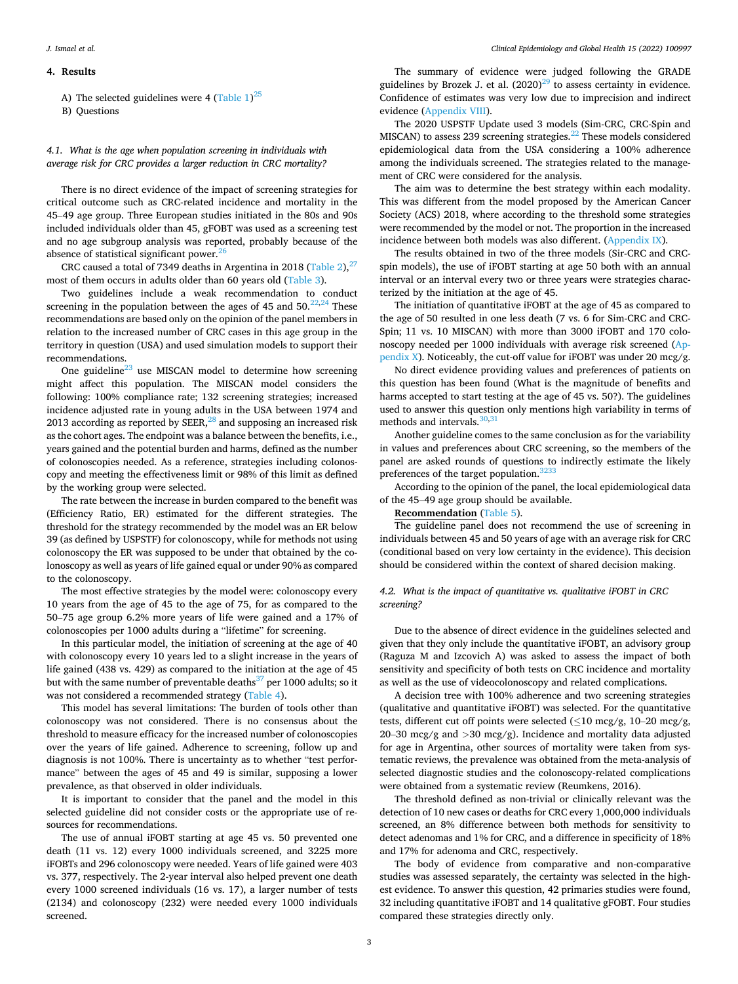### **4. Results**

A) The selected guidelines were 4 (Table  $1)^{25}$ 

B) Questions

# *4.1. What is the age when population screening in individuals with average risk for CRC provides a larger reduction in CRC mortality?*

There is no direct evidence of the impact of screening strategies for critical outcome such as CRC-related incidence and mortality in the 45–49 age group. Three European studies initiated in the 80s and 90s included individuals older than 45, gFOBT was used as a screening test and no age subgroup analysis was reported, probably because of the absence of statistical significant power.<sup>[26](#page-4-0)</sup>

CRC caused a total of 7349 deaths in Argentina in 2018 (Table 2), $^{27}$ most of them occurs in adults older than 60 years old (Table 3).

Two guidelines include a weak recommendation to conduct screening in the population between the ages of 45 and  $50.<sup>22,24</sup>$  These recommendations are based only on the opinion of the panel members in relation to the increased number of CRC cases in this age group in the territory in question (USA) and used simulation models to support their recommendations.

One guideline<sup>23</sup> use MISCAN model to determine how screening might affect this population. The MISCAN model considers the following: 100% compliance rate; 132 screening strategies; increased incidence adjusted rate in young adults in the USA between 1974 and 2013 according as reported by  $SEER<sub>1</sub><sup>28</sup>$  and supposing an increased risk as the cohort ages. The endpoint was a balance between the benefits, i.e., years gained and the potential burden and harms, defined as the number of colonoscopies needed. As a reference, strategies including colonoscopy and meeting the effectiveness limit or 98% of this limit as defined by the working group were selected.

The rate between the increase in burden compared to the benefit was (Efficiency Ratio, ER) estimated for the different strategies. The threshold for the strategy recommended by the model was an ER below 39 (as defined by USPSTF) for colonoscopy, while for methods not using colonoscopy the ER was supposed to be under that obtained by the colonoscopy as well as years of life gained equal or under 90% as compared to the colonoscopy.

The most effective strategies by the model were: colonoscopy every 10 years from the age of 45 to the age of 75, for as compared to the 50–75 age group 6.2% more years of life were gained and a 17% of colonoscopies per 1000 adults during a "lifetime" for screening.

In this particular model, the initiation of screening at the age of 40 with colonoscopy every 10 years led to a slight increase in the years of life gained (438 vs. 429) as compared to the initiation at the age of 45 but with the same number of preventable deaths $37$  per 1000 adults; so it was not considered a recommended strategy (Table 4).

This model has several limitations: The burden of tools other than colonoscopy was not considered. There is no consensus about the threshold to measure efficacy for the increased number of colonoscopies over the years of life gained. Adherence to screening, follow up and diagnosis is not 100%. There is uncertainty as to whether "test performance" between the ages of 45 and 49 is similar, supposing a lower prevalence, as that observed in older individuals.

It is important to consider that the panel and the model in this selected guideline did not consider costs or the appropriate use of resources for recommendations.

The use of annual iFOBT starting at age 45 vs. 50 prevented one death (11 vs. 12) every 1000 individuals screened, and 3225 more iFOBTs and 296 colonoscopy were needed. Years of life gained were 403 vs. 377, respectively. The 2-year interval also helped prevent one death every 1000 screened individuals (16 vs. 17), a larger number of tests (2134) and colonoscopy (232) were needed every 1000 individuals screened.

The summary of evidence were judged following the GRADE guidelines by Brozek J. et al.  $(2020)^{29}$  to assess certainty in evidence. Confidence of estimates was very low due to imprecision and indirect evidence (Appendix VIII).

The 2020 USPSTF Update used 3 models (Sim-CRC, CRC-Spin and MISCAN) to assess 239 screening strategies.<sup>22</sup> These models considered epidemiological data from the USA considering a 100% adherence among the individuals screened. The strategies related to the management of CRC were considered for the analysis.

The aim was to determine the best strategy within each modality. This was different from the model proposed by the American Cancer Society (ACS) 2018, where according to the threshold some strategies were recommended by the model or not. The proportion in the increased incidence between both models was also different. (Appendix IX).

The results obtained in two of the three models (Sir-CRC and CRCspin models), the use of iFOBT starting at age 50 both with an annual interval or an interval every two or three years were strategies characterized by the initiation at the age of 45.

The initiation of quantitative iFOBT at the age of 45 as compared to the age of 50 resulted in one less death (7 vs. 6 for Sim-CRC and CRC-Spin; 11 vs. 10 MISCAN) with more than 3000 iFOBT and 170 colonoscopy needed per 1000 individuals with average risk screened (Appendix X). Noticeably, the cut-off value for iFOBT was under 20 mcg/g.

No direct evidence providing values and preferences of patients on this question has been found (What is the magnitude of benefits and harms accepted to start testing at the age of 45 vs. 50?). The guidelines used to answer this question only mentions high variability in terms of methods and intervals. $30,31$ 

Another guideline comes to the same conclusion as for the variability in values and preferences about CRC screening, so the members of the panel are asked rounds of questions to indirectly estimate the likely preferences of the target population.<sup>[3233](#page-4-0)</sup>

According to the opinion of the panel, the local epidemiological data of the 45–49 age group should be available.

## **Recommendation** (Table 5).

The guideline panel does not recommend the use of screening in individuals between 45 and 50 years of age with an average risk for CRC (conditional based on very low certainty in the evidence). This decision should be considered within the context of shared decision making.

# *4.2. What is the impact of quantitative vs. qualitative iFOBT in CRC screening?*

Due to the absence of direct evidence in the guidelines selected and given that they only include the quantitative iFOBT, an advisory group (Raguza M and Izcovich A) was asked to assess the impact of both sensitivity and specificity of both tests on CRC incidence and mortality as well as the use of videocolonoscopy and related complications.

A decision tree with 100% adherence and two screening strategies (qualitative and quantitative iFOBT) was selected. For the quantitative tests, different cut off points were selected ( $\leq 10$  mcg/g,  $10-20$  mcg/g, 20–30 mcg/g and *>*30 mcg/g). Incidence and mortality data adjusted for age in Argentina, other sources of mortality were taken from systematic reviews, the prevalence was obtained from the meta-analysis of selected diagnostic studies and the colonoscopy-related complications were obtained from a systematic review (Reumkens, 2016).

The threshold defined as non-trivial or clinically relevant was the detection of 10 new cases or deaths for CRC every 1,000,000 individuals screened, an 8% difference between both methods for sensitivity to detect adenomas and 1% for CRC, and a difference in specificity of 18% and 17% for adenoma and CRC, respectively.

The body of evidence from comparative and non-comparative studies was assessed separately, the certainty was selected in the highest evidence. To answer this question, 42 primaries studies were found, 32 including quantitative iFOBT and 14 qualitative gFOBT. Four studies compared these strategies directly only.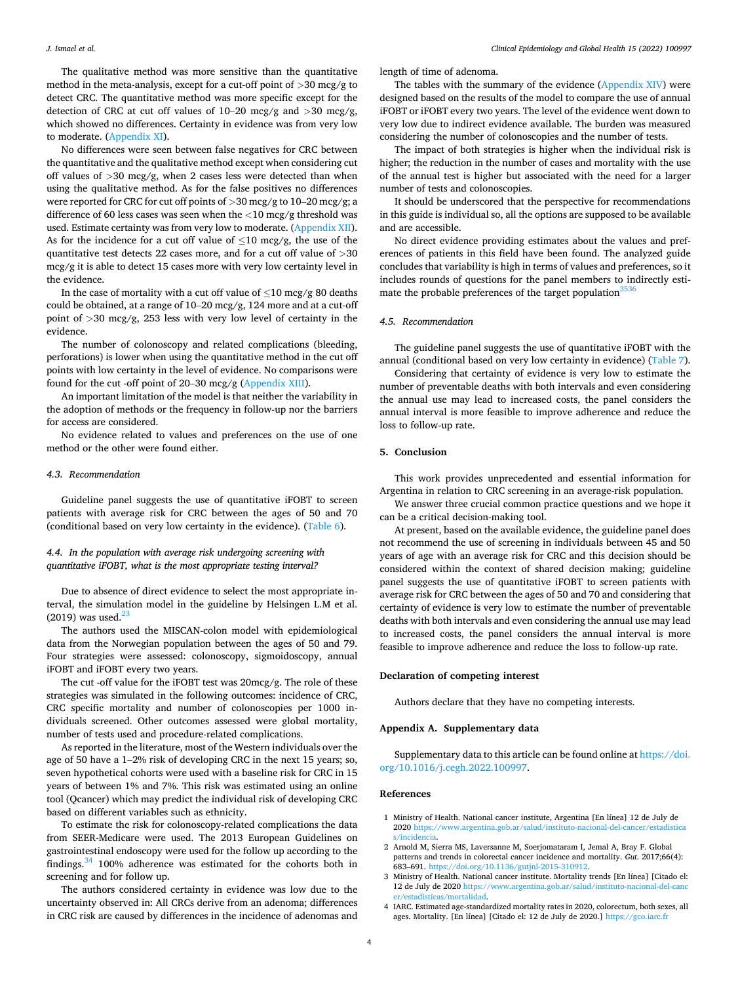### <span id="page-3-0"></span>*J. Ismael et al.*

The qualitative method was more sensitive than the quantitative method in the meta-analysis, except for a cut-off point of *>*30 mcg/g to detect CRC. The quantitative method was more specific except for the detection of CRC at cut off values of 10–20 mcg/g and *>*30 mcg/g, which showed no differences. Certainty in evidence was from very low to moderate. (Appendix XI).

No differences were seen between false negatives for CRC between the quantitative and the qualitative method except when considering cut off values of *>*30 mcg/g, when 2 cases less were detected than when using the qualitative method. As for the false positives no differences were reported for CRC for cut off points of *>*30 mcg/g to 10–20 mcg/g; a difference of 60 less cases was seen when the *<*10 mcg/g threshold was used. Estimate certainty was from very low to moderate. (Appendix XII). As for the incidence for a cut off value of  $\leq$ 10 mcg/g, the use of the quantitative test detects 22 cases more, and for a cut off value of *>*30 mcg/g it is able to detect 15 cases more with very low certainty level in the evidence.

In the case of mortality with a cut off value of  $\leq$ 10 mcg/g 80 deaths could be obtained, at a range of 10–20 mcg/g, 124 more and at a cut-off point of *>*30 mcg/g, 253 less with very low level of certainty in the evidence.

The number of colonoscopy and related complications (bleeding, perforations) is lower when using the quantitative method in the cut off points with low certainty in the level of evidence. No comparisons were found for the cut -off point of 20–30 mcg/g (Appendix XIII).

An important limitation of the model is that neither the variability in the adoption of methods or the frequency in follow-up nor the barriers for access are considered.

No evidence related to values and preferences on the use of one method or the other were found either.

#### *4.3. Recommendation*

Guideline panel suggests the use of quantitative iFOBT to screen patients with average risk for CRC between the ages of 50 and 70 (conditional based on very low certainty in the evidence). (Table 6).

# *4.4. In the population with average risk undergoing screening with quantitative iFOBT, what is the most appropriate testing interval?*

Due to absence of direct evidence to select the most appropriate interval, the simulation model in the guideline by Helsingen L.M et al.  $(2019)$  was used.<sup>23</sup>

The authors used the MISCAN-colon model with epidemiological data from the Norwegian population between the ages of 50 and 79. Four strategies were assessed: colonoscopy, sigmoidoscopy, annual iFOBT and iFOBT every two years.

The cut -off value for the iFOBT test was 20mcg/g. The role of these strategies was simulated in the following outcomes: incidence of CRC, CRC specific mortality and number of colonoscopies per 1000 individuals screened. Other outcomes assessed were global mortality, number of tests used and procedure-related complications.

As reported in the literature, most of the Western individuals over the age of 50 have a 1–2% risk of developing CRC in the next 15 years; so, seven hypothetical cohorts were used with a baseline risk for CRC in 15 years of between 1% and 7%. This risk was estimated using an online tool (Qcancer) which may predict the individual risk of developing CRC based on different variables such as ethnicity.

To estimate the risk for colonoscopy-related complications the data from SEER-Medicare were used. The 2013 European Guidelines on gastrointestinal endoscopy were used for the follow up according to the findings.[34 100% adherence was estimated for the cohorts both in](#page-4-0)  screening and for follow up.

The authors considered certainty in evidence was low due to the uncertainty observed in: All CRCs derive from an adenoma; differences in CRC risk are caused by differences in the incidence of adenomas and

length of time of adenoma.

The tables with the summary of the evidence (Appendix XIV) were designed based on the results of the model to compare the use of annual iFOBT or iFOBT every two years. The level of the evidence went down to very low due to indirect evidence available. The burden was measured considering the number of colonoscopies and the number of tests.

The impact of both strategies is higher when the individual risk is higher; the reduction in the number of cases and mortality with the use of the annual test is higher but associated with the need for a larger number of tests and colonoscopies.

It should be underscored that the perspective for recommendations in this guide is individual so, all the options are supposed to be available and are accessible.

No direct evidence providing estimates about the values and preferences of patients in this field have been found. The analyzed guide concludes that variability is high in terms of values and preferences, so it includes rounds of questions for the panel members to indirectly estimate the probable preferences of the target population  $3536$ 

# *4.5. Recommendation*

The guideline panel suggests the use of quantitative iFOBT with the annual (conditional based on very low certainty in evidence) (Table 7).

Considering that certainty of evidence is very low to estimate the number of preventable deaths with both intervals and even considering the annual use may lead to increased costs, the panel considers the annual interval is more feasible to improve adherence and reduce the loss to follow-up rate.

## **5. Conclusion**

This work provides unprecedented and essential information for Argentina in relation to CRC screening in an average-risk population.

We answer three crucial common practice questions and we hope it can be a critical decision-making tool.

At present, based on the available evidence, the guideline panel does not recommend the use of screening in individuals between 45 and 50 years of age with an average risk for CRC and this decision should be considered within the context of shared decision making; guideline panel suggests the use of quantitative iFOBT to screen patients with average risk for CRC between the ages of 50 and 70 and considering that certainty of evidence is very low to estimate the number of preventable deaths with both intervals and even considering the annual use may lead to increased costs, the panel considers the annual interval is more feasible to improve adherence and reduce the loss to follow-up rate.

## **Declaration of competing interest**

Authors declare that they have no competing interests.

## **Appendix A. Supplementary data**

Supplementary data to this article can be found online at [https://doi.](https://doi.org/10.1016/j.cegh.2022.100997)  [org/10.1016/j.cegh.2022.100997](https://doi.org/10.1016/j.cegh.2022.100997).

## **References**

- 1 Ministry of Health. National cancer institute, Argentina [En línea] 12 de July de 2020 [https://www.argentina.gob.ar/salud/instituto-nacional-del-cancer/estadistica](https://www.argentina.gob.ar/salud/instituto-nacional-del-cancer/estadisticas/incidencia)  [s/incidencia](https://www.argentina.gob.ar/salud/instituto-nacional-del-cancer/estadisticas/incidencia).
- 2 Arnold M, Sierra MS, Laversanne M, Soerjomataram I, Jemal A, Bray F. Global patterns and trends in colorectal cancer incidence and mortality. *Gut*. 2017;66(4): 683–691. [https://doi.org/10.1136/gutjnl-2015-310912.](https://doi.org/10.1136/gutjnl-2015-310912)
- 3 Ministry of Health. National cancer institute. Mortality trends [En línea] [Citado el: 12 de July de 2020 [https://www.argentina.gob.ar/salud/instituto-nacional-del-canc](https://www.argentina.gob.ar/salud/instituto-nacional-del-cancer/estadisticas/mortalidad)  [er/estadisticas/mortalidad](https://www.argentina.gob.ar/salud/instituto-nacional-del-cancer/estadisticas/mortalidad).
- 4 IARC. Estimated age-standardized mortality rates in 2020, colorectum, both sexes, all ages. Mortality. [En línea] [Citado el: 12 de July de 2020.] https://gco.iarc.fr